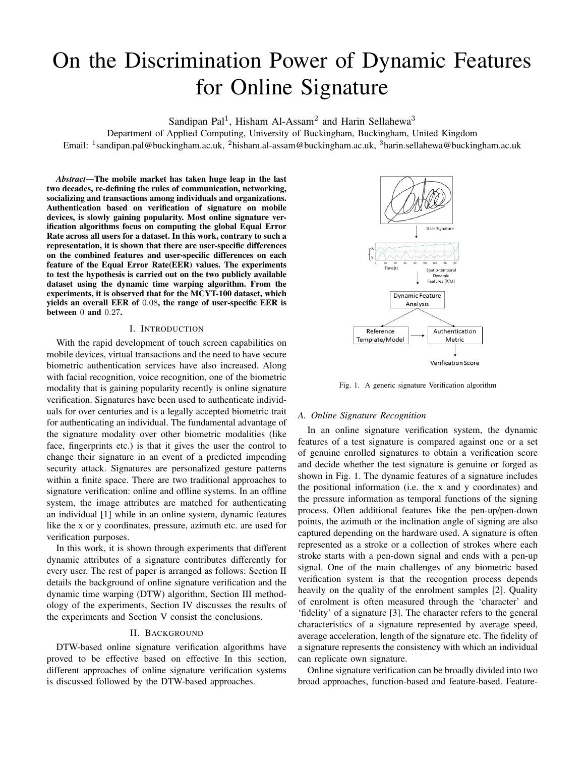# On the Discrimination Power of Dynamic Features for Online Signature

Sandipan Pal<sup>1</sup>, Hisham Al-Assam<sup>2</sup> and Harin Sellahewa<sup>3</sup>

Department of Applied Computing, University of Buckingham, Buckingham, United Kingdom Email: <sup>1</sup>sandipan.pal@buckingham.ac.uk, <sup>2</sup>hisham.al-assam@buckingham.ac.uk, <sup>3</sup>harin.sellahewa@buckingham.ac.uk

*Abstract*—The mobile market has taken huge leap in the last two decades, re-defining the rules of communication, networking, socializing and transactions among individuals and organizations. Authentication based on verification of signature on mobile devices, is slowly gaining popularity. Most online signature verification algorithms focus on computing the global Equal Error Rate across all users for a dataset. In this work, contrary to such a representation, it is shown that there are user-specific differences on the combined features and user-specific differences on each feature of the Equal Error Rate(EER) values. The experiments to test the hypothesis is carried out on the two publicly available dataset using the dynamic time warping algorithm. From the experiments, it is observed that for the MCYT-100 dataset, which yields an overall EER of 0.08, the range of user-specific EER is between 0 and 0.27.

#### I. INTRODUCTION

With the rapid development of touch screen capabilities on mobile devices, virtual transactions and the need to have secure biometric authentication services have also increased. Along with facial recognition, voice recognition, one of the biometric modality that is gaining popularity recently is online signature verification. Signatures have been used to authenticate individuals for over centuries and is a legally accepted biometric trait for authenticating an individual. The fundamental advantage of the signature modality over other biometric modalities (like face, fingerprints etc.) is that it gives the user the control to change their signature in an event of a predicted impending security attack. Signatures are personalized gesture patterns within a finite space. There are two traditional approaches to signature verification: online and offline systems. In an offline system, the image attributes are matched for authenticating an individual [1] while in an online system, dynamic features like the x or y coordinates, pressure, azimuth etc. are used for verification purposes.

In this work, it is shown through experiments that different dynamic attributes of a signature contributes differently for every user. The rest of paper is arranged as follows: Section II details the background of online signature verification and the dynamic time warping (DTW) algorithm, Section III methodology of the experiments, Section IV discusses the results of the experiments and Section V consist the conclusions.

## II. BACKGROUND

DTW-based online signature verification algorithms have proved to be effective based on effective In this section, different approaches of online signature verification systems is discussed followed by the DTW-based approaches.



Fig. 1. A generic signature Verification algorithm

## *A. Online Signature Recognition*

In an online signature verification system, the dynamic features of a test signature is compared against one or a set of genuine enrolled signatures to obtain a verification score and decide whether the test signature is genuine or forged as shown in Fig. 1. The dynamic features of a signature includes the positional information (i.e. the x and y coordinates) and the pressure information as temporal functions of the signing process. Often additional features like the pen-up/pen-down points, the azimuth or the inclination angle of signing are also captured depending on the hardware used. A signature is often represented as a stroke or a collection of strokes where each stroke starts with a pen-down signal and ends with a pen-up signal. One of the main challenges of any biometric based verification system is that the recogntion process depends heavily on the quality of the enrolment samples [2]. Quality of enrolment is often measured through the 'character' and 'fidelity' of a signature [3]. The character refers to the general characteristics of a signature represented by average speed, average acceleration, length of the signature etc. The fidelity of a signature represents the consistency with which an individual can replicate own signature.

Online signature verification can be broadly divided into two broad approaches, function-based and feature-based. Feature-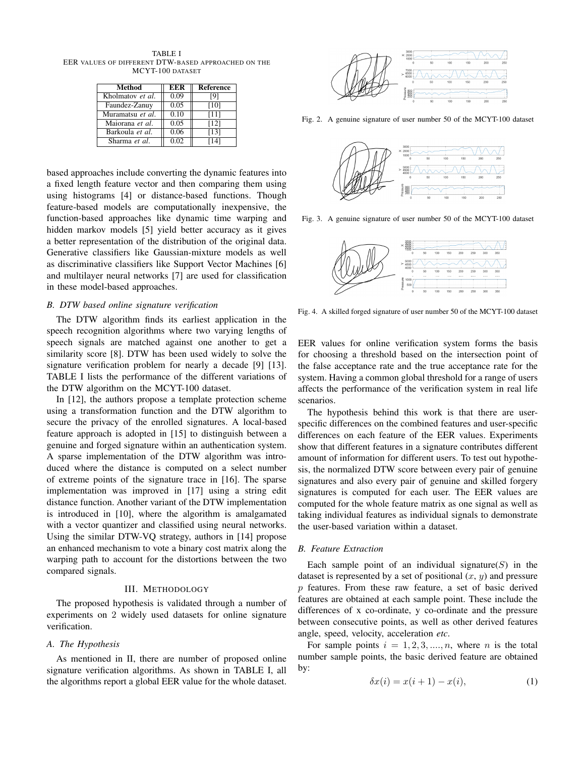TABLE I EER VALUES OF DIFFERENT DTW-BASED APPROACHED ON THE MCYT-100 DATASET

| Method           | EER  | Reference |
|------------------|------|-----------|
| Kholmatov et al. | 0.09 | [9]       |
| Faundez-Zanuy    | 0.05 | [10]      |
| Muramatsu et al. | 0.10 | [11]      |
| Maiorana et al.  | 0.05 | [12]      |
| Barkoula et al.  | 0.06 | [13]      |
| Sharma et al.    | 0.02 | 141       |

based approaches include converting the dynamic features into a fixed length feature vector and then comparing them using using histograms [4] or distance-based functions. Though feature-based models are computationally inexpensive, the function-based approaches like dynamic time warping and hidden markov models [5] yield better accuracy as it gives a better representation of the distribution of the original data. Generative classifiers like Gaussian-mixture models as well as discriminative classifiers like Support Vector Machines [6] and multilayer neural networks [7] are used for classification in these model-based approaches.

## *B. DTW based online signature verification*

The DTW algorithm finds its earliest application in the speech recognition algorithms where two varying lengths of speech signals are matched against one another to get a similarity score [8]. DTW has been used widely to solve the signature verification problem for nearly a decade [9] [13]. TABLE I lists the performance of the different variations of the DTW algorithm on the MCYT-100 dataset.

In [12], the authors propose a template protection scheme using a transformation function and the DTW algorithm to secure the privacy of the enrolled signatures. A local-based feature approach is adopted in [15] to distinguish between a genuine and forged signature within an authentication system. A sparse implementation of the DTW algorithm was introduced where the distance is computed on a select number of extreme points of the signature trace in [16]. The sparse implementation was improved in [17] using a string edit distance function. Another variant of the DTW implementation is introduced in [10], where the algorithm is amalgamated with a vector quantizer and classified using neural networks. Using the similar DTW-VQ strategy, authors in [14] propose an enhanced mechanism to vote a binary cost matrix along the warping path to account for the distortions between the two compared signals.

### III. METHODOLOGY

The proposed hypothesis is validated through a number of experiments on 2 widely used datasets for online signature verification.

#### *A. The Hypothesis*

As mentioned in II, there are number of proposed online signature verification algorithms. As shown in TABLE I, all the algorithms report a global EER value for the whole dataset.



Fig. 2. A genuine signature of user number 50 of the MCYT-100 dataset



Fig. 3. A genuine signature of user number 50 of the MCYT-100 dataset



Fig. 4. A skilled forged signature of user number 50 of the MCYT-100 dataset

EER values for online verification system forms the basis for choosing a threshold based on the intersection point of the false acceptance rate and the true acceptance rate for the system. Having a common global threshold for a range of users affects the performance of the verification system in real life scenarios.

The hypothesis behind this work is that there are userspecific differences on the combined features and user-specific differences on each feature of the EER values. Experiments show that different features in a signature contributes different amount of information for different users. To test out hypothesis, the normalized DTW score between every pair of genuine signatures and also every pair of genuine and skilled forgery signatures is computed for each user. The EER values are computed for the whole feature matrix as one signal as well as taking individual features as individual signals to demonstrate the user-based variation within a dataset.

## *B. Feature Extraction*

Each sample point of an individual signature  $(S)$  in the dataset is represented by a set of positional  $(x, y)$  and pressure p features. From these raw feature, a set of basic derived features are obtained at each sample point. These include the differences of x co-ordinate, y co-ordinate and the pressure between consecutive points, as well as other derived features angle, speed, velocity, acceleration *etc*.

For sample points  $i = 1, 2, 3, \dots, n$ , where n is the total number sample points, the basic derived feature are obtained by:

$$
\delta x(i) = x(i+1) - x(i),\tag{1}
$$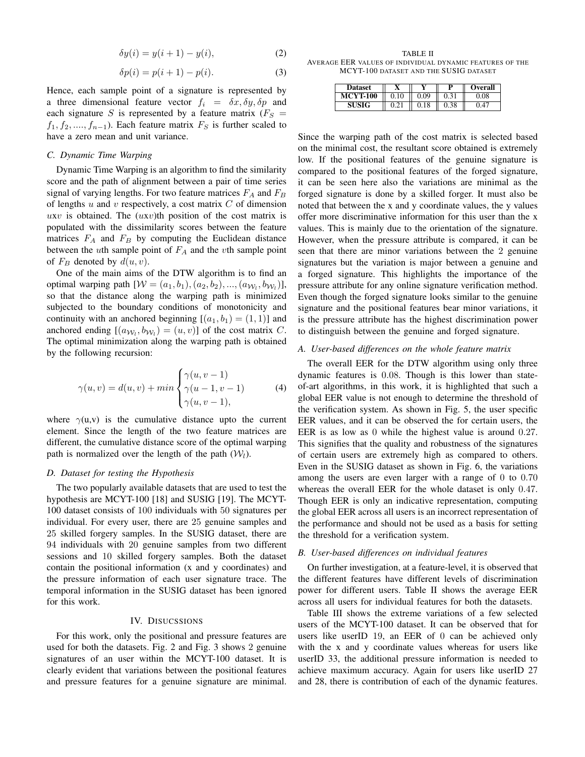$$
\delta y(i) = y(i+1) - y(i),\tag{2}
$$

$$
\delta p(i) = p(i+1) - p(i). \tag{3}
$$

Hence, each sample point of a signature is represented by a three dimensional feature vector  $f_i = \delta x, \delta y, \delta p$  and each signature S is represented by a feature matrix ( $F<sub>S</sub>$  =  $f_1, f_2, \ldots, f_{n-1}$ ). Each feature matrix  $F_S$  is further scaled to have a zero mean and unit variance.

# *C. Dynamic Time Warping*

Dynamic Time Warping is an algorithm to find the similarity score and the path of alignment between a pair of time series signal of varying lengths. For two feature matrices  $F_A$  and  $F_B$ of lengths  $u$  and  $v$  respectively, a cost matrix  $C$  of dimension uxv is obtained. The  $(uxv)$ th position of the cost matrix is populated with the dissimilarity scores between the feature matrices  $F_A$  and  $F_B$  by computing the Euclidean distance between the uth sample point of  $F_A$  and the vth sample point of  $F_B$  denoted by  $d(u, v)$ .

One of the main aims of the DTW algorithm is to find an optimal warping path  $[ W = (a_1, b_1), (a_2, b_2), ..., (a_{W_l}, b_{W_l})]$ , so that the distance along the warping path is minimized subjected to the boundary conditions of monotonicity and continuity with an anchored beginning  $[(a_1, b_1) = (1, 1)]$  and anchored ending  $[(a_{\mathcal{W}_l}, b_{\mathcal{W}_l}) = (u, v)]$  of the cost matrix C. The optimal minimization along the warping path is obtained by the following recursion:

$$
\gamma(u,v) = d(u,v) + \min\begin{cases} \gamma(u,v-1) \\ \gamma(u-1,v-1) \\ \gamma(u,v-1), \end{cases}
$$
 (4)

where  $\gamma(u,v)$  is the cumulative distance upto the current element. Since the length of the two feature matrices are different, the cumulative distance score of the optimal warping path is normalized over the length of the path  $(W_l)$ .

## *D. Dataset for testing the Hypothesis*

The two popularly available datasets that are used to test the hypothesis are MCYT-100 [18] and SUSIG [19]. The MCYT-100 dataset consists of 100 individuals with 50 signatures per individual. For every user, there are 25 genuine samples and 25 skilled forgery samples. In the SUSIG dataset, there are 94 individuals with 20 genuine samples from two different sessions and 10 skilled forgery samples. Both the dataset contain the positional information (x and y coordinates) and the pressure information of each user signature trace. The temporal information in the SUSIG dataset has been ignored for this work.

## IV. DISUCSSIONS

For this work, only the positional and pressure features are used for both the datasets. Fig. 2 and Fig. 3 shows 2 genuine signatures of an user within the MCYT-100 dataset. It is clearly evident that variations between the positional features and pressure features for a genuine signature are minimal.

TABLE II AVERAGE EER VALUES OF INDIVIDUAL DYNAMIC FEATURES OF THE MCYT-100 DATASET AND THE SUSIG DATASET

| <b>Dataset</b>  |      | <b>Overall</b>       |
|-----------------|------|----------------------|
| <b>MCYT-100</b> | 0.09 | .08                  |
| <b>SUSIG</b>    |      | $\mathbf{4}^{\circ}$ |

Since the warping path of the cost matrix is selected based on the minimal cost, the resultant score obtained is extremely low. If the positional features of the genuine signature is compared to the positional features of the forged signature, it can be seen here also the variations are minimal as the forged signature is done by a skilled forger. It must also be noted that between the x and y coordinate values, the y values offer more discriminative information for this user than the x values. This is mainly due to the orientation of the signature. However, when the pressure attribute is compared, it can be seen that there are minor variations between the 2 genuine signatures but the variation is major between a genuine and a forged signature. This highlights the importance of the pressure attribute for any online signature verification method. Even though the forged signature looks similar to the genuine signature and the positional features bear minor variations, it is the pressure attribute has the highest discrimination power to distinguish between the genuine and forged signature.

## *A. User-based differences on the whole feature matrix*

The overall EER for the DTW algorithm using only three dynamic features is 0.08. Though is this lower than stateof-art algorithms, in this work, it is highlighted that such a global EER value is not enough to determine the threshold of the verification system. As shown in Fig. 5, the user specific EER values, and it can be observed the for certain users, the EER is as low as 0 while the highest value is around 0.27. This signifies that the quality and robustness of the signatures of certain users are extremely high as compared to others. Even in the SUSIG dataset as shown in Fig. 6, the variations among the users are even larger with a range of 0 to 0.70 whereas the overall EER for the whole dataset is only 0.47. Though EER is only an indicative representation, computing the global EER across all users is an incorrect representation of the performance and should not be used as a basis for setting the threshold for a verification system.

# *B. User-based differences on individual features*

On further investigation, at a feature-level, it is observed that the different features have different levels of discrimination power for different users. Table II shows the average EER across all users for individual features for both the datasets.

Table III shows the extreme variations of a few selected users of the MCYT-100 dataset. It can be observed that for users like userID 19, an EER of 0 can be achieved only with the x and y coordinate values whereas for users like userID 33, the additional pressure information is needed to achieve maximum accuracy. Again for users like userID 27 and 28, there is contribution of each of the dynamic features.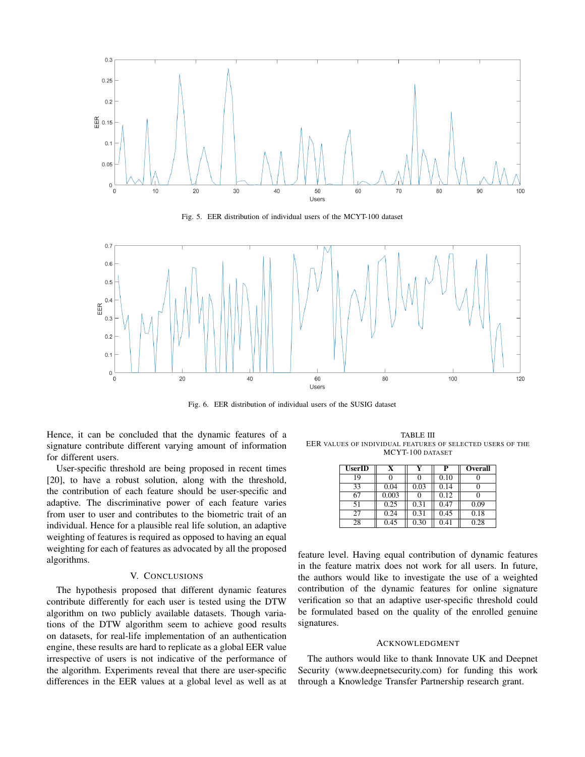

Fig. 5. EER distribution of individual users of the MCYT-100 dataset



Fig. 6. EER distribution of individual users of the SUSIG dataset

Hence, it can be concluded that the dynamic features of a signature contribute different varying amount of information for different users.

User-specific threshold are being proposed in recent times [20], to have a robust solution, along with the threshold, the contribution of each feature should be user-specific and adaptive. The discriminative power of each feature varies from user to user and contributes to the biometric trait of an individual. Hence for a plausible real life solution, an adaptive weighting of features is required as opposed to having an equal weighting for each of features as advocated by all the proposed algorithms.

### V. CONCLUSIONS

The hypothesis proposed that different dynamic features contribute differently for each user is tested using the DTW algorithm on two publicly available datasets. Though variations of the DTW algorithm seem to achieve good results on datasets, for real-life implementation of an authentication engine, these results are hard to replicate as a global EER value irrespective of users is not indicative of the performance of the algorithm. Experiments reveal that there are user-specific differences in the EER values at a global level as well as at

TABLE III EER VALUES OF INDIVIDUAL FEATURES OF SELECTED USERS OF THE MCYT-100 DATASET

| <b>UserID</b> | x     |      | P    | Overall |
|---------------|-------|------|------|---------|
| 19            |       |      | 0.10 |         |
| 33            | 0.04  | 0.03 | 0.14 |         |
| 67            | 0.003 |      | 0.12 |         |
| 51            | 0.25  | 0.31 | 0.47 | 0.09    |
| 27            | 0.24  | 0.31 | 0.45 | 0.18    |
| 28            | 0.45  | 0.30 | 0.41 | 0.28    |

feature level. Having equal contribution of dynamic features in the feature matrix does not work for all users. In future, the authors would like to investigate the use of a weighted contribution of the dynamic features for online signature verification so that an adaptive user-specific threshold could be formulated based on the quality of the enrolled genuine signatures.

#### ACKNOWLEDGMENT

The authors would like to thank Innovate UK and Deepnet Security (www.deepnetsecurity.com) for funding this work through a Knowledge Transfer Partnership research grant.